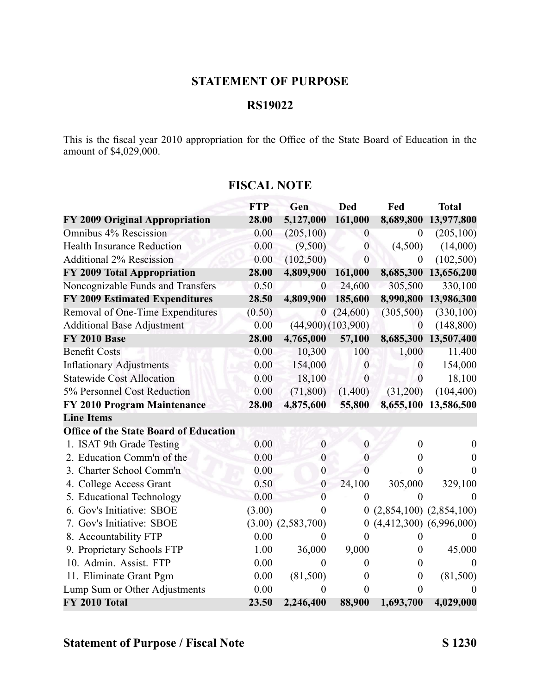### **STATEMENT OF PURPOSE**

## **RS19022**

This is the fiscal year 2010 appropriation for the Office of the State Board of Education in the amount of \$4,029,000.

|                                               | <b>FTP</b> | Gen                    | <b>Ded</b>             | Fed              | <b>Total</b>                |
|-----------------------------------------------|------------|------------------------|------------------------|------------------|-----------------------------|
| FY 2009 Original Appropriation                | 28.00      | 5,127,000              | 161,000                | 8,689,800        | 13,977,800                  |
| Omnibus 4% Rescission                         | 0.00       | (205, 100)             | $\overline{0}$         | $\theta$         | (205, 100)                  |
| <b>Health Insurance Reduction</b>             | 0.00       | (9,500)                | $\boldsymbol{0}$       | (4,500)          | (14,000)                    |
| <b>Additional 2% Rescission</b>               | 0.00       | (102, 500)             | $\mathbf{0}$           | $\boldsymbol{0}$ | (102, 500)                  |
| FY 2009 Total Appropriation                   | 28.00      | 4,809,900              | 161,000                | 8,685,300        | 13,656,200                  |
| Noncognizable Funds and Transfers             | 0.50       | $\boldsymbol{0}$       | 24,600                 | 305,500          | 330,100                     |
| <b>FY 2009 Estimated Expenditures</b>         | 28.50      | 4,809,900              | 185,600                | 8,990,800        | 13,986,300                  |
| Removal of One-Time Expenditures              | (0.50)     | $\boldsymbol{0}$       | (24,600)               | (305,500)        | (330, 100)                  |
| <b>Additional Base Adjustment</b>             | 0.00       |                        | $(44,900)$ $(103,900)$ | $\boldsymbol{0}$ | (148, 800)                  |
| <b>FY 2010 Base</b>                           | 28.00      | 4,765,000              | 57,100                 | 8,685,300        | 13,507,400                  |
| <b>Benefit Costs</b>                          | 0.00       | 10,300                 | 100                    | 1,000            | 11,400                      |
| <b>Inflationary Adjustments</b>               | 0.00       | 154,000                | $\mathbf{0}$           | $\boldsymbol{0}$ | 154,000                     |
| <b>Statewide Cost Allocation</b>              | 0.00       | 18,100                 | $\boldsymbol{0}$       | $\boldsymbol{0}$ | 18,100                      |
| 5% Personnel Cost Reduction                   | 0.00       | (71,800)               | (1,400)                | (31,200)         | (104, 400)                  |
| FY 2010 Program Maintenance                   | 28.00      | 4,875,600              | 55,800                 | 8,655,100        | 13,586,500                  |
| <b>Line Items</b>                             |            |                        |                        |                  |                             |
| <b>Office of the State Board of Education</b> |            |                        |                        |                  |                             |
| 1. ISAT 9th Grade Testing                     | 0.00       | $\boldsymbol{0}$       | $\boldsymbol{0}$       | $\boldsymbol{0}$ | $\theta$                    |
| 2. Education Comm'n of the                    | 0.00       | $\boldsymbol{0}$       | $\boldsymbol{0}$       | 0                | $\theta$                    |
| 3. Charter School Comm'n                      | 0.00       | $\boldsymbol{0}$       | $\theta$               | 0                | $\Omega$                    |
| 4. College Access Grant                       | 0.50       | $\boldsymbol{0}$       | 24,100                 | 305,000          | 329,100                     |
| 5. Educational Technology                     | 0.00       | $\overline{0}$         | $\mathbf{0}$           | $\overline{0}$   | $\theta$                    |
| 6. Gov's Initiative: SBOE                     | (3.00)     | $\Omega$               | $\boldsymbol{0}$       |                  | $(2,854,100)$ $(2,854,100)$ |
| 7. Gov's Initiative: SBOE                     |            | $(3.00)$ $(2,583,700)$ | $\theta$               |                  | $(4,412,300)$ $(6,996,000)$ |
| 8. Accountability FTP                         | 0.00       | $\theta$               | $\theta$               | 0                | $\theta$                    |
| 9. Proprietary Schools FTP                    | 1.00       | 36,000                 | 9,000                  | $\boldsymbol{0}$ | 45,000                      |
| 10. Admin. Assist. FTP                        | 0.00       | $\theta$               | $\theta$               | $\boldsymbol{0}$ | $\Omega$                    |
| 11. Eliminate Grant Pgm                       | 0.00       | (81,500)               | $\theta$               | $\boldsymbol{0}$ | (81,500)                    |
| Lump Sum or Other Adjustments                 | 0.00       | 0                      | $\theta$               | $\overline{0}$   |                             |
| FY 2010 Total                                 | 23.50      | 2,246,400              | 88,900                 | 1,693,700        | 4,029,000                   |

#### **FISCAL NOTE**

# **Statement of Purpose / Fiscal Note S 1230**